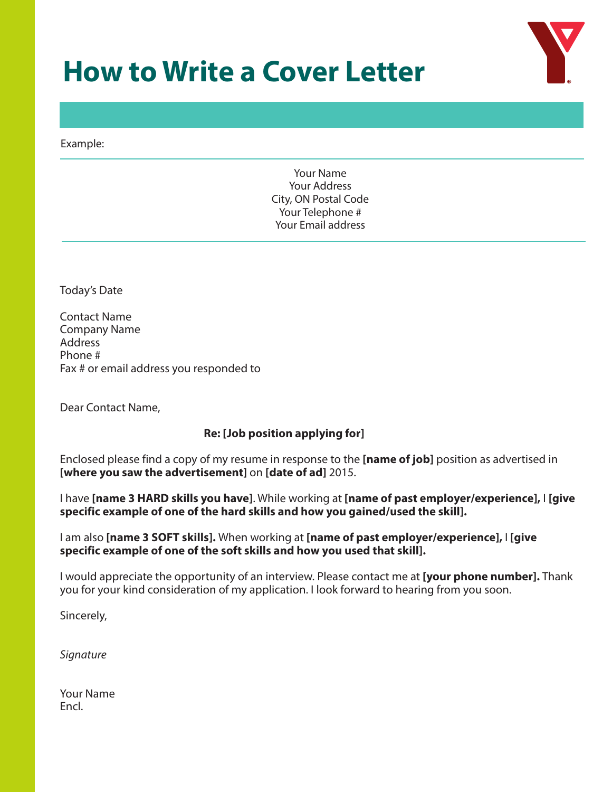# **How to Write a Cover Letter**



Example:

Your Name Your Address City, ON Postal Code Your Telephone # Your Email address

Today's Date

Contact Name Company Name Address Phone # Fax # or email address you responded to

Dear Contact Name,

### **Re: [Job position applying for]**

Enclosed please find a copy of my resume in response to the **[name of job]** position as advertised in **[where you saw the advertisement]** on **[date of ad]** 2015.

I have **[name 3 HARD skills you have]**. While working at **[name of past employer/experience],** I **[give specific example of one of the hard skills and how you gained/used the skill].** 

I am also **[name 3 SOFT skills].** When working at **[name of past employer/experience],** I **[give specific example of one of the soft skills and how you used that skill].** 

I would appreciate the opportunity of an interview. Please contact me at **[your phone number].** Thank you for your kind consideration of my application. I look forward to hearing from you soon.

Sincerely,

*Signature* 

Your Name Encl.